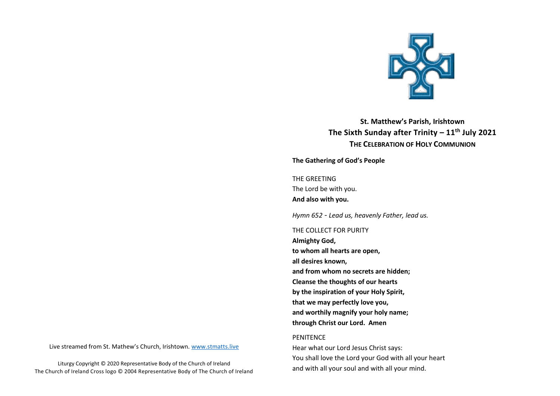

**St. Matthew's Parish, Irishtown The Sixth Sunday after Trinity – 11th July 2021 THE CELEBRATION OF HOLY COMMUNION**

**The Gathering of God's People** 

THE GREETING The Lord be with you. **And also with you.**

*Hymn 652* - *Lead us, heavenly Father, lead us.*

THE COLLECT FOR PURITY

**Almighty God, to whom all hearts are open, all desires known, and from whom no secrets are hidden; Cleanse the thoughts of our hearts by the inspiration of your Holy Spirit, that we may perfectly love you, and worthily magnify your holy name; through Christ our Lord. Amen**

#### PENITENCE

Hear what our Lord Jesus Christ says: You shall love the Lord your God with all your heart and with all your soul and with all your mind.

Live streamed from St. Mathew's Church, Irishtown. [www.stmatts.live](http://www.stmatts.live/)

Liturgy Copyright © 2020 Representative Body of the Church of Ireland The Church of Ireland Cross logo © 2004 Representative Body of The Church of Ireland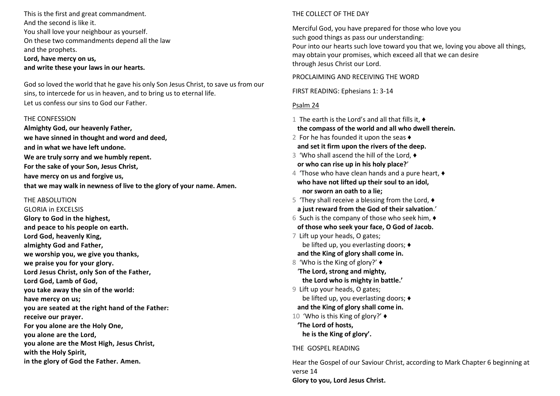This is the first and great commandment. And the second is like it. You shall love your neighbour as yourself. On these two commandments depend all the law and the prophets. **Lord, have mercy on us, and write these your laws in our hearts.**

God so loved the world that he gave his only Son Jesus Christ, to save us from our sins, to intercede for us in heaven, and to bring us to eternal life. Let us confess our sins to God our Father.

#### THE CONFESSION

**Almighty God, our heavenly Father, we have sinned in thought and word and deed, and in what we have left undone. We are truly sorry and we humbly repent. For the sake of your Son, Jesus Christ, have mercy on us and forgive us, that we may walk in newness of live to the glory of your name. Amen.** 

## THE ABSOLUTION

GLORIA in EXCELSIS **Glory to God in the highest, and peace to his people on earth. Lord God, heavenly King, almighty God and Father, we worship you, we give you thanks, we praise you for your glory. Lord Jesus Christ, only Son of the Father, Lord God, Lamb of God, you take away the sin of the world: have mercy on us; you are seated at the right hand of the Father: receive our prayer. For you alone are the Holy One, you alone are the Lord, you alone are the Most High, Jesus Christ, with the Holy Spirit, in the glory of God the Father. Amen.**

# THE COLLECT OF THE DAY

Merciful God, you have prepared for those who love you such good things as pass our understanding: Pour into our hearts such love toward you that we, loving you above all things, may obtain your promises, which exceed all that we can desire through Jesus Christ our Lord.

PROCLAIMING AND RECEIVING THE WORD

FIRST READING: Ephesians 1: 3-14

# Psalm 24

1 The earth is the Lord's and all that fills it, ♦︎  **the compass of the world and all who dwell therein.** 2 For he has founded it upon the seas  $\triangle$  **and set it firm upon the rivers of the deep.** 3 'Who shall ascend the hill of the Lord, ♦︎ **or who can rise up in his holy place?**' 4 'Those who have clean hands and a pure heart, ♦︎ **who have not lifted up their soul to an idol, nor sworn an oath to a lie;** 5 'They shall receive a blessing from the Lord, ♦︎ **a just reward from the God of their salvation**.' 6 Such is the company of those who seek him,  $\triangleleft$  **of those who seek your face, O God of Jacob.** 7 Lift up your heads, O gates; be lifted up, you everlasting doors; ♦︎ **and the King of glory shall come in.** 8 'Who is the King of glory?' ♦︎ '**The Lord, strong and mighty, the Lord who is mighty in battle.'** 9 Lift up your heads, O gates; be lifted up, you everlasting doors; ♦︎  **and the King of glory shall come in.** 10 'Who is this King of glory?' ♦︎ **'The Lord of hosts, he is the King of glory'.**

## THE GOSPEL READING

Hear the Gospel of our Saviour Christ, according to Mark Chapter 6 beginning at verse 14 **Glory to you, Lord Jesus Christ.**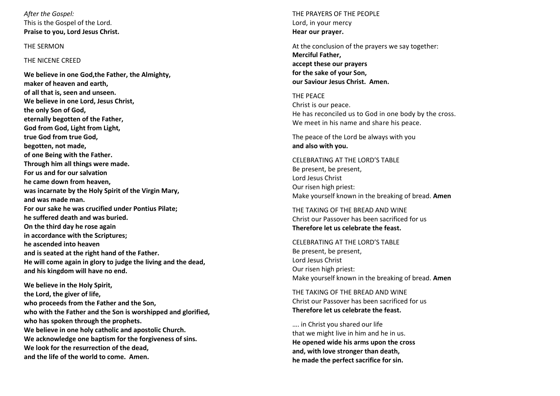*After the Gospel:* This is the Gospel of the Lord. **Praise to you, Lord Jesus Christ.**

## THE SERMON

## THE NICENE CREED

**We believe in one God,the Father, the Almighty, maker of heaven and earth, of all that is, seen and unseen. We believe in one Lord, Jesus Christ, the only Son of God, eternally begotten of the Father, God from God, Light from Light, true God from true God, begotten, not made, of one Being with the Father. Through him all things were made. For us and for our salvation he came down from heaven, was incarnate by the Holy Spirit of the Virgin Mary, and was made man. For our sake he was crucified under Pontius Pilate; he suffered death and was buried. On the third day he rose again in accordance with the Scriptures; he ascended into heaven and is seated at the right hand of the Father. He will come again in glory to judge the living and the dead, and his kingdom will have no end.**

**We believe in the Holy Spirit, the Lord, the giver of life, who proceeds from the Father and the Son, who with the Father and the Son is worshipped and glorified, who has spoken through the prophets. We believe in one holy catholic and apostolic Church. We acknowledge one baptism for the forgiveness of sins. We look for the resurrection of the dead, and the life of the world to come. Amen.**

THE PRAYERS OF THE PEOPLE Lord, in your mercy **Hear our prayer.**

At the conclusion of the prayers we say together: **Merciful Father, accept these our prayers for the sake of your Son, our Saviour Jesus Christ. Amen.**

THE PEACE Christ is our peace. He has reconciled us to God in one body by the cross. We meet in his name and share his peace.

The peace of the Lord be always with you **and also with you.**

CELEBRATING AT THE LORD'S TABLE Be present, be present, Lord Jesus Christ Our risen high priest: Make yourself known in the breaking of bread. **Amen**

THE TAKING OF THE BREAD AND WINE Christ our Passover has been sacrificed for us **Therefore let us celebrate the feast.**

CELEBRATING AT THE LORD'S TABLE Be present, be present, Lord Jesus Christ Our risen high priest: Make yourself known in the breaking of bread. **Amen**

THE TAKING OF THE BREAD AND WINE Christ our Passover has been sacrificed for us **Therefore let us celebrate the feast.**

…. in Christ you shared our life that we might live in him and he in us. **He opened wide his arms upon the cross and, with love stronger than death, he made the perfect sacrifice for sin.**